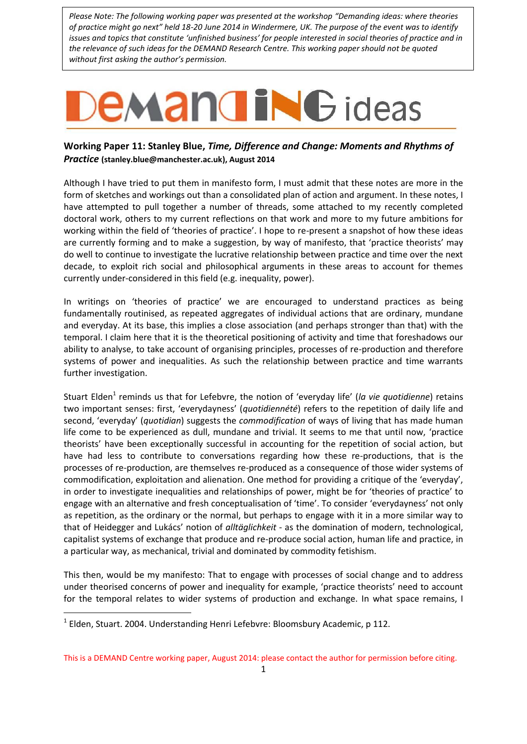*Please Note: The following working paper was presented at the workshop "Demanding ideas: where theories of practice might go next" held 18-20 June 2014 in Windermere, UK. The purpose of the event was to identify issues and topics that constitute 'unfinished business' for people interested in social theories of practice and in the relevance of such ideas for the DEMAND Research Centre. This working paper should not be quoted without first asking the author's permission.*

# **EMANGING** ideas

# **Working Paper 11: Stanley Blue,** *Time, Difference and Change: Moments and Rhythms of Practice* **[\(stanley.blue@manchester.ac.uk\)](mailto:stanley.blue@manchester.ac.uk), August 2014**

Although I have tried to put them in manifesto form, I must admit that these notes are more in the form of sketches and workings out than a consolidated plan of action and argument. In these notes, I have attempted to pull together a number of threads, some attached to my recently completed doctoral work, others to my current reflections on that work and more to my future ambitions for working within the field of 'theories of practice'. I hope to re-present a snapshot of how these ideas are currently forming and to make a suggestion, by way of manifesto, that 'practice theorists' may do well to continue to investigate the lucrative relationship between practice and time over the next decade, to exploit rich social and philosophical arguments in these areas to account for themes currently under-considered in this field (e.g. inequality, power).

In writings on 'theories of practice' we are encouraged to understand practices as being fundamentally routinised, as repeated aggregates of individual actions that are ordinary, mundane and everyday. At its base, this implies a close association (and perhaps stronger than that) with the temporal. I claim here that it is the theoretical positioning of activity and time that foreshadows our ability to analyse, to take account of organising principles, processes of re-production and therefore systems of power and inequalities. As such the relationship between practice and time warrants further investigation.

Stuart Elden<sup>1</sup> reminds us that for Lefebvre, the notion of 'everyday life' (la vie quotidienne) retains two important senses: first, 'everydayness' (*quotidiennété*) refers to the repetition of daily life and second, 'everyday' (*quotidian*) suggests the *commodification* of ways of living that has made human life come to be experienced as dull, mundane and trivial. It seems to me that until now, 'practice theorists' have been exceptionally successful in accounting for the repetition of social action, but have had less to contribute to conversations regarding how these re-productions, that is the processes of re-production, are themselves re-produced as a consequence of those wider systems of commodification, exploitation and alienation. One method for providing a critique of the 'everyday', in order to investigate inequalities and relationships of power, might be for 'theories of practice' to engage with an alternative and fresh conceptualisation of 'time'. To consider 'everydayness' not only as repetition, as the ordinary or the normal, but perhaps to engage with it in a more similar way to that of Heidegger and Lukács' notion of *alltäglichkeit* - as the domination of modern, technological, capitalist systems of exchange that produce and re-produce social action, human life and practice, in a particular way, as mechanical, trivial and dominated by commodity fetishism.

This then, would be my manifesto: That to engage with processes of social change and to address under theorised concerns of power and inequality for example, 'practice theorists' need to account for the temporal relates to wider systems of production and exchange. In what space remains, I

-

<sup>&</sup>lt;sup>1</sup> Elden, Stuart. 2004. Understanding Henri Lefebvre: Bloomsbury Academic, p 112.

This is a DEMAND Centre working paper, August 2014: please contact the author for permission before citing.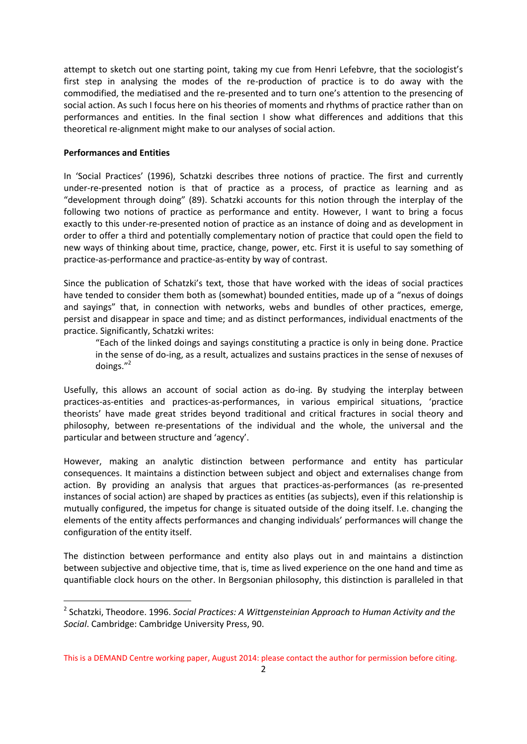attempt to sketch out one starting point, taking my cue from Henri Lefebvre, that the sociologist's first step in analysing the modes of the re-production of practice is to do away with the commodified, the mediatised and the re-presented and to turn one's attention to the presencing of social action. As such I focus here on his theories of moments and rhythms of practice rather than on performances and entities. In the final section I show what differences and additions that this theoretical re-alignment might make to our analyses of social action.

#### **Performances and Entities**

-

In 'Social Practices' (1996), Schatzki describes three notions of practice. The first and currently under-re-presented notion is that of practice as a process, of practice as learning and as "development through doing" (89). Schatzki accounts for this notion through the interplay of the following two notions of practice as performance and entity. However, I want to bring a focus exactly to this under-re-presented notion of practice as an instance of doing and as development in order to offer a third and potentially complementary notion of practice that could open the field to new ways of thinking about time, practice, change, power, etc. First it is useful to say something of practice-as-performance and practice-as-entity by way of contrast.

Since the publication of Schatzki's text, those that have worked with the ideas of social practices have tended to consider them both as (somewhat) bounded entities, made up of a "nexus of doings and sayings" that, in connection with networks, webs and bundles of other practices, emerge, persist and disappear in space and time; and as distinct performances, individual enactments of the practice. Significantly, Schatzki writes:

"Each of the linked doings and sayings constituting a practice is only in being done. Practice in the sense of do-ing, as a result, actualizes and sustains practices in the sense of nexuses of doings."<sup>2</sup>

Usefully, this allows an account of social action as do-ing. By studying the interplay between practices-as-entities and practices-as-performances, in various empirical situations, 'practice theorists' have made great strides beyond traditional and critical fractures in social theory and philosophy, between re-presentations of the individual and the whole, the universal and the particular and between structure and 'agency'.

However, making an analytic distinction between performance and entity has particular consequences. It maintains a distinction between subject and object and externalises change from action. By providing an analysis that argues that practices-as-performances (as re-presented instances of social action) are shaped by practices as entities (as subjects), even if this relationship is mutually configured, the impetus for change is situated outside of the doing itself. I.e. changing the elements of the entity affects performances and changing individuals' performances will change the configuration of the entity itself.

The distinction between performance and entity also plays out in and maintains a distinction between subjective and objective time, that is, time as lived experience on the one hand and time as quantifiable clock hours on the other. In Bergsonian philosophy, this distinction is paralleled in that

<sup>2</sup> Schatzki, Theodore. 1996. *Social Practices: A Wittgensteinian Approach to Human Activity and the Social*. Cambridge: Cambridge University Press, 90.

This is a DEMAND Centre working paper, August 2014: please contact the author for permission before citing.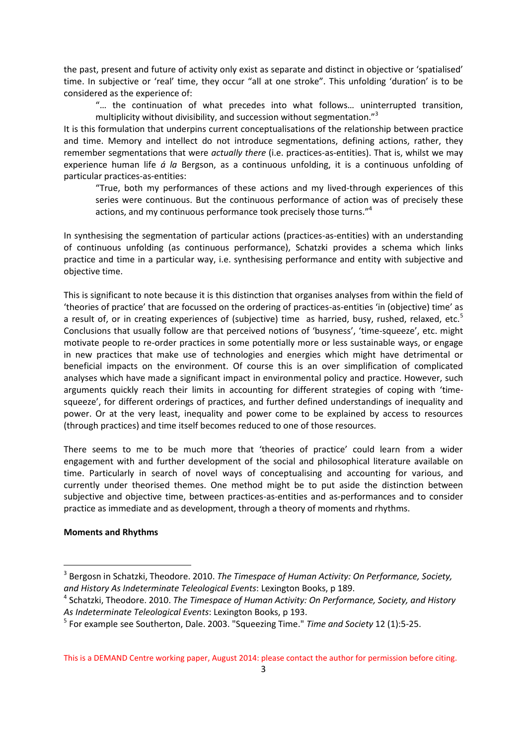the past, present and future of activity only exist as separate and distinct in objective or 'spatialised' time. In subjective or 'real' time, they occur "all at one stroke". This unfolding 'duration' is to be considered as the experience of:

"… the continuation of what precedes into what follows… uninterrupted transition, multiplicity without divisibility, and succession without segmentation."<sup>3</sup>

It is this formulation that underpins current conceptualisations of the relationship between practice and time. Memory and intellect do not introduce segmentations, defining actions, rather, they remember segmentations that were *actually there* (i.e. practices-as-entities). That is, whilst we may experience human life *á la* Bergson, as a continuous unfolding, it is a continuous unfolding of particular practices-as-entities:

"True, both my performances of these actions and my lived-through experiences of this series were continuous. But the continuous performance of action was of precisely these actions, and my continuous performance took precisely those turns."<sup>4</sup>

In synthesising the segmentation of particular actions (practices-as-entities) with an understanding of continuous unfolding (as continuous performance), Schatzki provides a schema which links practice and time in a particular way, i.e. synthesising performance and entity with subjective and objective time.

This is significant to note because it is this distinction that organises analyses from within the field of 'theories of practice' that are focussed on the ordering of practices-as-entities 'in (objective) time' as a result of, or in creating experiences of (subjective) time as harried, busy, rushed, relaxed, etc.<sup>5</sup> Conclusions that usually follow are that perceived notions of 'busyness', 'time-squeeze', etc. might motivate people to re-order practices in some potentially more or less sustainable ways, or engage in new practices that make use of technologies and energies which might have detrimental or beneficial impacts on the environment. Of course this is an over simplification of complicated analyses which have made a significant impact in environmental policy and practice. However, such arguments quickly reach their limits in accounting for different strategies of coping with 'timesqueeze', for different orderings of practices, and further defined understandings of inequality and power. Or at the very least, inequality and power come to be explained by access to resources (through practices) and time itself becomes reduced to one of those resources.

There seems to me to be much more that 'theories of practice' could learn from a wider engagement with and further development of the social and philosophical literature available on time. Particularly in search of novel ways of conceptualising and accounting for various, and currently under theorised themes. One method might be to put aside the distinction between subjective and objective time, between practices-as-entities and as-performances and to consider practice as immediate and as development, through a theory of moments and rhythms.

#### **Moments and Rhythms**

-

<sup>3</sup> Bergosn in Schatzki, Theodore. 2010. *The Timespace of Human Activity: On Performance, Society, and History As Indeterminate Teleological Events*: Lexington Books, p 189.

<sup>4</sup> Schatzki, Theodore. 2010. *The Timespace of Human Activity: On Performance, Society, and History As Indeterminate Teleological Events*: Lexington Books, p 193.

<sup>5</sup> For example see Southerton, Dale. 2003. "Squeezing Time." *Time and Society* 12 (1):5-25.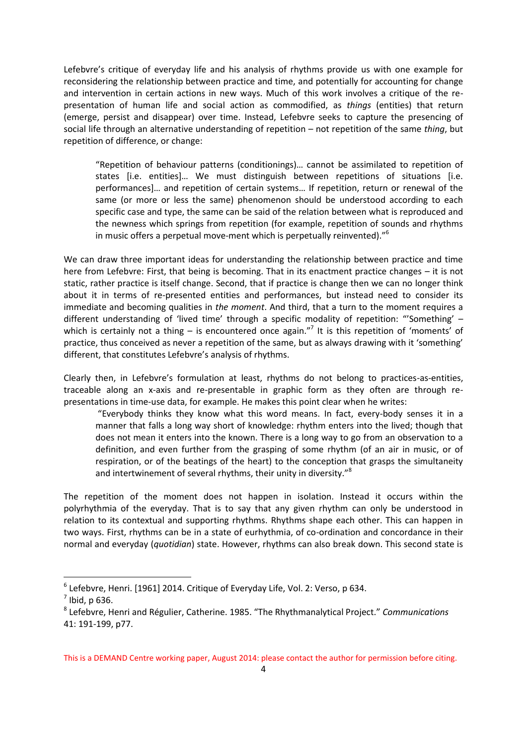Lefebvre's critique of everyday life and his analysis of rhythms provide us with one example for reconsidering the relationship between practice and time, and potentially for accounting for change and intervention in certain actions in new ways. Much of this work involves a critique of the representation of human life and social action as commodified, as *things* (entities) that return (emerge, persist and disappear) over time. Instead, Lefebvre seeks to capture the presencing of social life through an alternative understanding of repetition – not repetition of the same *thing*, but repetition of difference, or change:

"Repetition of behaviour patterns (conditionings)… cannot be assimilated to repetition of states [i.e. entities]… We must distinguish between repetitions of situations [i.e. performances]… and repetition of certain systems… If repetition, return or renewal of the same (or more or less the same) phenomenon should be understood according to each specific case and type, the same can be said of the relation between what is reproduced and the newness which springs from repetition (for example, repetition of sounds and rhythms in music offers a perpetual move-ment which is perpetually reinvented)."<sup>6</sup>

We can draw three important ideas for understanding the relationship between practice and time here from Lefebvre: First, that being is becoming. That in its enactment practice changes – it is not static, rather practice is itself change. Second, that if practice is change then we can no longer think about it in terms of re-presented entities and performances, but instead need to consider its immediate and becoming qualities in *the moment*. And third, that a turn to the moment requires a different understanding of 'lived time' through a specific modality of repetition: "'Something' which is certainly not a thing  $-$  is encountered once again."<sup>7</sup> It is this repetition of 'moments' of practice, thus conceived as never a repetition of the same, but as always drawing with it 'something' different, that constitutes Lefebvre's analysis of rhythms.

Clearly then, in Lefebvre's formulation at least, rhythms do not belong to practices-as-entities, traceable along an x-axis and re-presentable in graphic form as they often are through representations in time-use data, for example. He makes this point clear when he writes:

"Everybody thinks they know what this word means. In fact, every-body senses it in a manner that falls a long way short of knowledge: rhythm enters into the lived; though that does not mean it enters into the known. There is a long way to go from an observation to a definition, and even further from the grasping of some rhythm (of an air in music, or of respiration, or of the beatings of the heart) to the conception that grasps the simultaneity and intertwinement of several rhythms, their unity in diversity."<sup>8</sup>

The repetition of the moment does not happen in isolation. Instead it occurs within the polyrhythmia of the everyday. That is to say that any given rhythm can only be understood in relation to its contextual and supporting rhythms. Rhythms shape each other. This can happen in two ways. First, rhythms can be in a state of eurhythmia, of co-ordination and concordance in their normal and everyday (*quotidian*) state. However, rhythms can also break down. This second state is

-

This is a DEMAND Centre working paper, August 2014: please contact the author for permission before citing.

 $^6$  Lefebvre, Henri. [1961] 2014. Critique of Everyday Life, Vol. 2: Verso, p 634.

 $<sup>7</sup>$  Ibid, p 636.</sup>

<sup>8</sup> Lefebvre, Henri and Régulier, Catherine. 1985. "The Rhythmanalytical Project." *Communications* 41: 191-199, p77.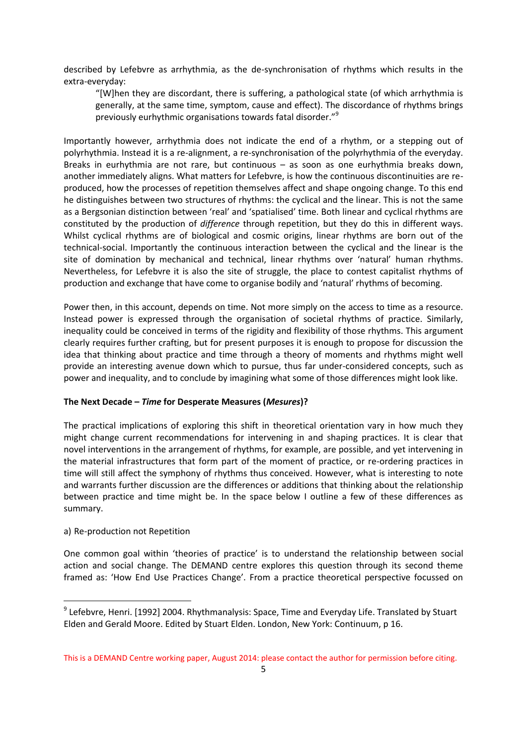described by Lefebvre as arrhythmia, as the de-synchronisation of rhythms which results in the extra-everyday:

"[W]hen they are discordant, there is suffering, a pathological state (of which arrhythmia is generally, at the same time, symptom, cause and effect). The discordance of rhythms brings previously eurhythmic organisations towards fatal disorder."<sup>9</sup>

Importantly however, arrhythmia does not indicate the end of a rhythm, or a stepping out of polyrhythmia. Instead it is a re-alignment, a re-synchronisation of the polyrhythmia of the everyday. Breaks in eurhythmia are not rare, but continuous – as soon as one eurhythmia breaks down, another immediately aligns. What matters for Lefebvre, is how the continuous discontinuities are reproduced, how the processes of repetition themselves affect and shape ongoing change. To this end he distinguishes between two structures of rhythms: the cyclical and the linear. This is not the same as a Bergsonian distinction between 'real' and 'spatialised' time. Both linear and cyclical rhythms are constituted by the production of *difference* through repetition, but they do this in different ways. Whilst cyclical rhythms are of biological and cosmic origins, linear rhythms are born out of the technical-social. Importantly the continuous interaction between the cyclical and the linear is the site of domination by mechanical and technical, linear rhythms over 'natural' human rhythms. Nevertheless, for Lefebvre it is also the site of struggle, the place to contest capitalist rhythms of production and exchange that have come to organise bodily and 'natural' rhythms of becoming.

Power then, in this account, depends on time. Not more simply on the access to time as a resource. Instead power is expressed through the organisation of societal rhythms of practice. Similarly, inequality could be conceived in terms of the rigidity and flexibility of those rhythms. This argument clearly requires further crafting, but for present purposes it is enough to propose for discussion the idea that thinking about practice and time through a theory of moments and rhythms might well provide an interesting avenue down which to pursue, thus far under-considered concepts, such as power and inequality, and to conclude by imagining what some of those differences might look like.

#### **The Next Decade –** *Time* **for Desperate Measures (***Mesures***)?**

The practical implications of exploring this shift in theoretical orientation vary in how much they might change current recommendations for intervening in and shaping practices. It is clear that novel interventions in the arrangement of rhythms, for example, are possible, and yet intervening in the material infrastructures that form part of the moment of practice, or re-ordering practices in time will still affect the symphony of rhythms thus conceived. However, what is interesting to note and warrants further discussion are the differences or additions that thinking about the relationship between practice and time might be. In the space below I outline a few of these differences as summary.

#### a) Re-production not Repetition

-

One common goal within 'theories of practice' is to understand the relationship between social action and social change. The DEMAND centre explores this question through its second theme framed as: 'How End Use Practices Change'. From a practice theoretical perspective focussed on

 $^9$  Lefebvre, Henri. [1992] 2004. Rhythmanalysis: Space, Time and Everyday Life. Translated by Stuart Elden and Gerald Moore. Edited by Stuart Elden. London, New York: Continuum, p 16.

This is a DEMAND Centre working paper, August 2014: please contact the author for permission before citing.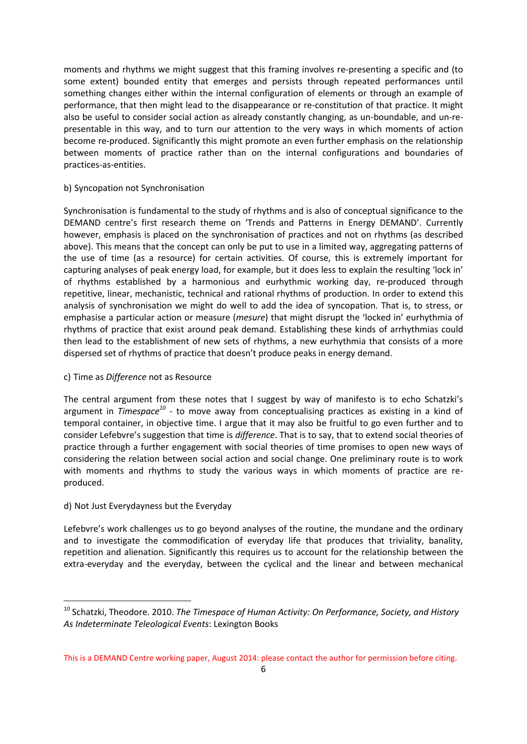moments and rhythms we might suggest that this framing involves re-presenting a specific and (to some extent) bounded entity that emerges and persists through repeated performances until something changes either within the internal configuration of elements or through an example of performance, that then might lead to the disappearance or re-constitution of that practice. It might also be useful to consider social action as already constantly changing, as un-boundable, and un-representable in this way, and to turn our attention to the very ways in which moments of action become re-produced. Significantly this might promote an even further emphasis on the relationship between moments of practice rather than on the internal configurations and boundaries of practices-as-entities.

## b) Syncopation not Synchronisation

Synchronisation is fundamental to the study of rhythms and is also of conceptual significance to the DEMAND centre's first research theme on 'Trends and Patterns in Energy DEMAND'. Currently however, emphasis is placed on the synchronisation of practices and not on rhythms (as described above). This means that the concept can only be put to use in a limited way, aggregating patterns of the use of time (as a resource) for certain activities. Of course, this is extremely important for capturing analyses of peak energy load, for example, but it does less to explain the resulting 'lock in' of rhythms established by a harmonious and eurhythmic working day, re-produced through repetitive, linear, mechanistic, technical and rational rhythms of production. In order to extend this analysis of synchronisation we might do well to add the idea of syncopation. That is, to stress, or emphasise a particular action or measure (*mesure*) that might disrupt the 'locked in' eurhythmia of rhythms of practice that exist around peak demand. Establishing these kinds of arrhythmias could then lead to the establishment of new sets of rhythms, a new eurhythmia that consists of a more dispersed set of rhythms of practice that doesn't produce peaks in energy demand.

#### c) Time as *Difference* not as Resource

The central argument from these notes that I suggest by way of manifesto is to echo Schatzki's argument in *Timespace<sup>10</sup>* - to move away from conceptualising practices as existing in a kind of temporal container, in objective time. I argue that it may also be fruitful to go even further and to consider Lefebvre's suggestion that time is *difference*. That is to say, that to extend social theories of practice through a further engagement with social theories of time promises to open new ways of considering the relation between social action and social change. One preliminary route is to work with moments and rhythms to study the various ways in which moments of practice are reproduced.

# d) Not Just Everydayness but the Everyday

-

Lefebvre's work challenges us to go beyond analyses of the routine, the mundane and the ordinary and to investigate the commodification of everyday life that produces that triviality, banality, repetition and alienation. Significantly this requires us to account for the relationship between the extra-everyday and the everyday, between the cyclical and the linear and between mechanical

<sup>&</sup>lt;sup>10</sup> Schatzki, Theodore. 2010. *The Timespace of Human Activity: On Performance, Society, and History As Indeterminate Teleological Events*: Lexington Books

This is a DEMAND Centre working paper, August 2014: please contact the author for permission before citing.